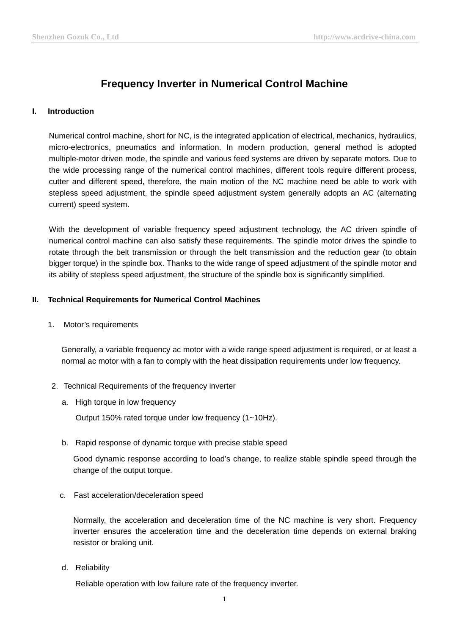# **Frequency Inverter in Numerical Control Machine**

## **I. Introduction**

Numerical control machine, short for NC, is the integrated application of electrical, mechanics, hydraulics, micro-electronics, pneumatics and information. In modern production, general method is adopted multiple-motor driven mode, the spindle and various feed systems are driven by separate motors. Due to the wide processing range of the numerical control machines, different tools require different process, cutter and different speed, therefore, the main motion of the NC machine need be able to work with stepless speed adjustment, the spindle speed adjustment system generally adopts an AC (alternating current) speed system.

With the development of variable frequency speed adjustment technology, the AC driven spindle of numerical control machine can also satisfy these requirements. The spindle motor drives the spindle to rotate through the belt transmission or through the belt transmission and the reduction gear (to obtain bigger torque) in the spindle box. Thanks to the wide range of speed adjustment of the spindle motor and its ability of stepless speed adjustment, the structure of the spindle box is significantly simplified.

### **II. Technical Requirements for Numerical Control Machines**

1. Motor's requirements

Generally, a variable frequency ac motor with a wide range speed adjustment is required, or at least a normal ac motor with a fan to comply with the heat dissipation requirements under low frequency.

- 2. Technical Requirements of the [frequency inverter](http://www.acdrive-china.com/products/frequency-inverter-manufacturer-2096.htm)
	- a. High torque in low frequency

Output 150% rated torque under low frequency (1~10Hz).

b. Rapid response of dynamic torque with precise stable speed

Good dynamic response according to load's change, to realize stable spindle speed through the change of the output torque.

c. Fast acceleration/deceleration speed

Normally, the acceleration and deceleration time of the NC machine is very short. [Frequency](http://www.acdrive-china.com/products/frequency-inverter-manufacturer-2096.htm)  [inverter](http://www.acdrive-china.com/products/frequency-inverter-manufacturer-2096.htm) ensures the acceleration time and the deceleration time depends on external [braking](http://www.acdrive-china.com/products/braking-resistor-6349.htm)  [resistor](http://www.acdrive-china.com/products/braking-resistor-6349.htm) or [braking unit.](http://www.acdrive-china.com/products/brake-unit-8512.htm)

d. Reliability

Reliable operation with low failure rate of the frequency inverter.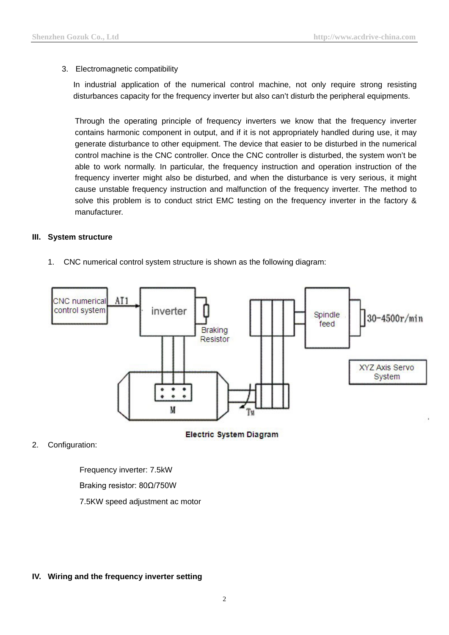# 3. Electromagnetic compatibility

In industrial application of the numerical control machine, not only require strong resisting disturbances capacity for the [frequency inverter](http://www.acdrive-china.com/products/frequency-inverter-manufacturer-2096.htm) but also can't disturb the peripheral equipments.

Through the operating principle of frequency inverters we know that the frequency inverter contains harmonic component in output, and if it is not appropriately handled during use, it may generate disturbance to other equipment. The device that easier to be disturbed in the numerical control machine is the CNC controller. Once the CNC controller is disturbed, the system won't be able to work normally. In particular, the frequency instruction and operation instruction of the frequency inverter might also be disturbed, and when the disturbance is very serious, it might cause unstable frequency instruction and malfunction of the frequency inverter. The method to solve this problem is to conduct strict EMC testing on the frequency inverter in the factory & manufacturer.

## **III. System structure**

1. CNC numerical control system structure is shown as the following diagram:



**Electric System Diagram** 

2. Configuration:

Frequency inverter: 7.5kW

Braking resistor: 80Ω/750W

7.5KW speed adjustment ac motor

#### **IV. Wiring and the [frequency inverter](http://www.acdrive-china.com/products/frequency-inverter-manufacturer-2096.htm) setting**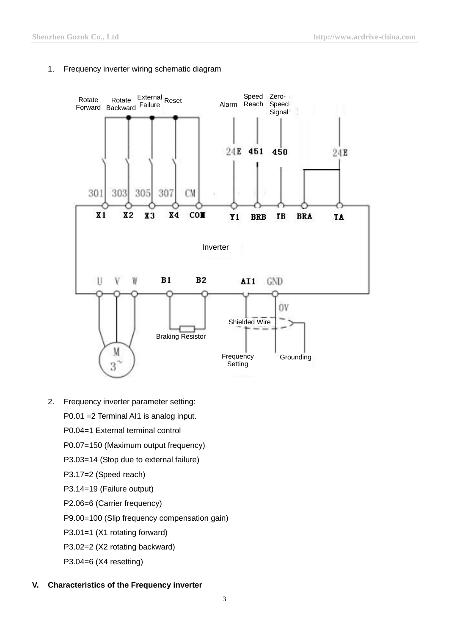

#### 1. Frequency inverter wiring schematic diagram

2. Frequency inverter parameter setting:

P0.01 =2 Terminal AI1 is analog input.

- P0.04=1 External terminal control
- P0.07=150 (Maximum output frequency)
- P3.03=14 (Stop due to external failure)
- P3.17=2 (Speed reach)
- P3.14=19 (Failure output)
- P2.06=6 (Carrier frequency)
- P9.00=100 (Slip frequency compensation gain)
- P3.01=1 (X1 rotating forward)
- P3.02=2 (X2 rotating backward)
- P3.04=6 (X4 resetting)

#### **V. Characteristics of the Frequency inverter**